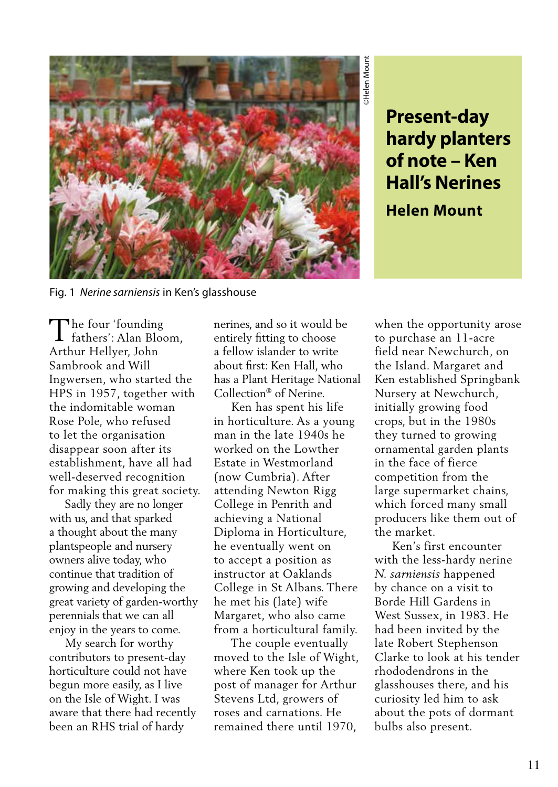

Fig. 1 *Nerine sarniensis* in Ken's glasshouse

**hardy planters of note – Ken Hall's Nerines**

**Helen Mount**

The four 'founding<br>fathers': Alan Bloc fathers': Alan Bloom, Arthur Hellyer, John Sambrook and Will Ingwersen, who started the HPS in 1957, together with the indomitable woman Rose Pole, who refused to let the organisation disappear soon after its establishment, have all had well-deserved recognition for making this great society.

 Sadly they are no longer with us, and that sparked a thought about the many plantspeople and nursery owners alive today, who continue that tradition of growing and developing the great variety of garden-worthy perennials that we can all enjoy in the years to come.

 My search for worthy contributors to present-day horticulture could not have begun more easily, as I live on the Isle of Wight. I was aware that there had recently been an RHS trial of hardy

nerines, and so it would be entirely fitting to choose a fellow islander to write about first: Ken Hall, who has a Plant Heritage National Collection® of Nerine.

 Ken has spent his life in horticulture. As a young man in the late 1940s he worked on the Lowther Estate in Westmorland (now Cumbria). After attending Newton Rigg College in Penrith and achieving a National Diploma in Horticulture, he eventually went on to accept a position as instructor at Oaklands College in St Albans. There he met his (late) wife Margaret, who also came from a horticultural family.

 The couple eventually moved to the Isle of Wight, where Ken took up the post of manager for Arthur Stevens Ltd, growers of roses and carnations. He remained there until 1970,

**Present-day<br>
hardy planters<br>
of note – Ken<br>
Hall's Nerines<br>
Helen Mount<br>
Helen Mount<br>
then the opportunity arose<br>
purchase an 11-acre<br>
els and Nargaret and<br>
els land. Margaret and<br>
an established Springbank<br>
ursery at New** when the opportunity arose to purchase an 11-acre field near Newchurch, on the Island. Margaret and Ken established Springbank Nursery at Newchurch, initially growing food crops, but in the 1980s they turned to growing ornamental garden plants in the face of fierce competition from the large supermarket chains, which forced many small producers like them out of the market.

 Ken's first encounter with the less-hardy nerine *N. sarniensis* happened by chance on a visit to Borde Hill Gardens in West Sussex, in 1983. He had been invited by the late Robert Stephenson Clarke to look at his tender rhododendrons in the glasshouses there, and his curiosity led him to ask about the pots of dormant bulbs also present.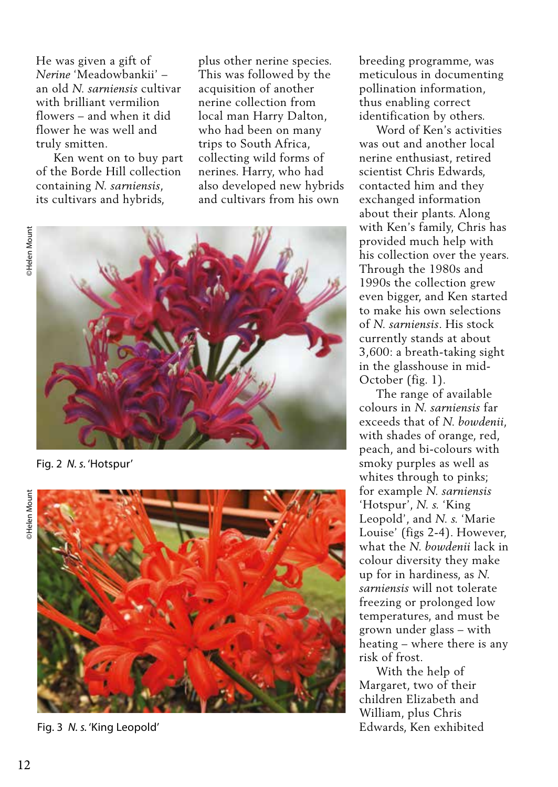He was given a gift of *Nerine* 'Meadowbankii' – an old *N. sarniensis* cultivar with brilliant vermilion flowers – and when it did flower he was well and truly smitten.

 Ken went on to buy part of the Borde Hill collection containing *N. sarniensis*, its cultivars and hybrids,

plus other nerine species. This was followed by the acquisition of another nerine collection from local man Harry Dalton, who had been on many trips to South Africa, collecting wild forms of nerines. Harry, who had also developed new hybrids and cultivars from his own



Fig. 2 *N. s.* 'Hotspur'



Fig. 3 *N. s.* 'King Leopold'

breeding programme, was meticulous in documenting pollination information, thus enabling correct identification by others.

 Word of Ken's activities was out and another local nerine enthusiast, retired scientist Chris Edwards, contacted him and they exchanged information about their plants. Along with Ken's family, Chris has provided much help with his collection over the years. Through the 1980s and 1990s the collection grew even bigger, and Ken started to make his own selections of *N. sarniensis*. His stock currently stands at about 3,600: a breath-taking sight in the glasshouse in mid-October (fig. 1).

 The range of available colours in *N. sarniensis* far exceeds that of *N. bowdenii*, with shades of orange, red, peach, and bi-colours with smoky purples as well as whites through to pinks; for example *N. sarniensis* 'Hotspur', *N. s.* 'King Leopold', and *N. s.* 'Marie Louise' (figs 2-4). However, what the *N. bowdenii* lack in colour diversity they make up for in hardiness, as *N. sarniensis* will not tolerate freezing or prolonged low temperatures, and must be grown under glass – with heating – where there is any risk of frost.

 With the help of Margaret, two of their children Elizabeth and William, plus Chris Edwards, Ken exhibited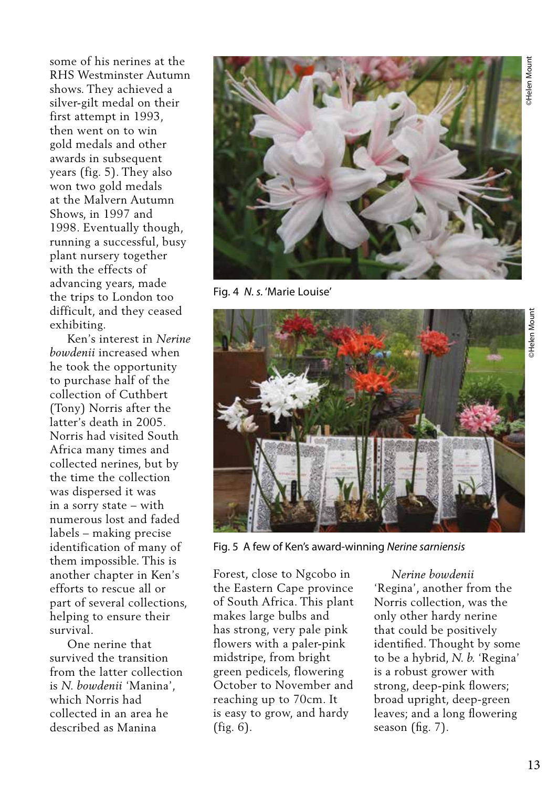some of his nerines at the RHS Westminster Autumn shows. They achieved a silver-gilt medal on their first attempt in 1993, then went on to win gold medals and other awards in subsequent years (fig. 5). They also won two gold medals at the Malvern Autumn Shows, in 1997 and 1998. Eventually though, running a successful, busy plant nursery together with the effects of advancing years, made the trips to London too difficult, and they ceased exhibiting.

 Ken's interest in *Nerine bowdenii* increased when he took the opportunity to purchase half of the collection of Cuthbert (Tony) Norris after the latter's death in 2005. Norris had visited South Africa many times and collected nerines, but by the time the collection was dispersed it was in a sorry state – with numerous lost and faded labels – making precise identification of many of them impossible. This is another chapter in Ken's efforts to rescue all or part of several collections, helping to ensure their survival.

 One nerine that survived the transition from the latter collection is *N. bowdenii* 'Manina', which Norris had collected in an area he described as Manina



Fig. 4 *N. s.* 'Marie Louise'



Fig. 5 A few of Ken's award-winning *Nerine sarniensis*

Forest, close to Ngcobo in the Eastern Cape province of South Africa. This plant makes large bulbs and has strong, very pale pink flowers with a paler-pink midstripe, from bright green pedicels, flowering October to November and reaching up to 70cm. It is easy to grow, and hardy (fig. 6).

 *Nerine bowdenii*  'Regina', another from the Norris collection, was the only other hardy nerine that could be positively identified. Thought by some to be a hybrid, *N. b.* 'Regina' is a robust grower with strong, deep-pink flowers; broad upright, deep-green leaves; and a long flowering season (fig. 7).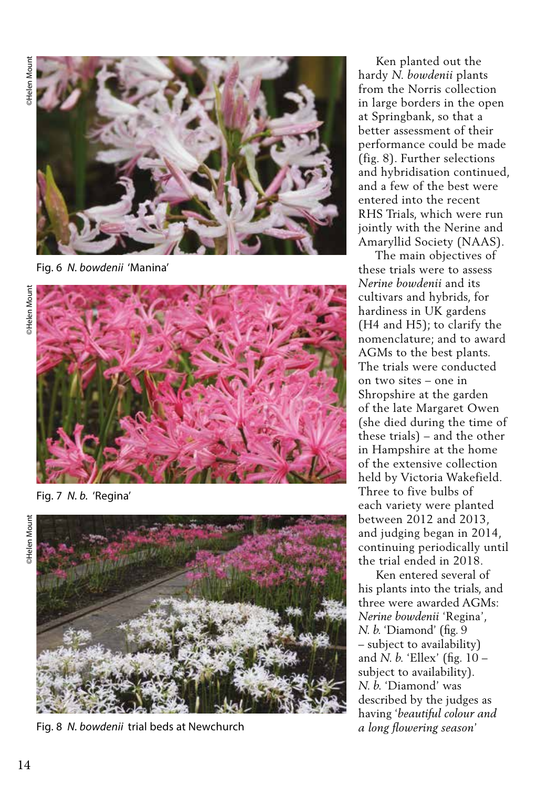

Fig. 6 *N. bowdenii* 'Manina'



Fig. 7 *N. b.* 'Regina'





Fig. 8 *N. bowdenii* trial beds at Newchurch

 Ken planted out the hardy *N. bowdenii* plants from the Norris collection in large borders in the open at Springbank, so that a better assessment of their performance could be made (fig. 8). Further selections and hybridisation continued, and a few of the best were entered into the recent RHS Trials, which were run jointly with the Nerine and Amaryllid Society (NAAS).

 The main objectives of these trials were to assess *Nerine bowdenii* and its cultivars and hybrids, for hardiness in UK gardens (H4 and H5); to clarify the nomenclature; and to award AGMs to the best plants. The trials were conducted on two sites – one in Shropshire at the garden of the late Margaret Owen (she died during the time of these trials) – and the other in Hampshire at the home of the extensive collection held by Victoria Wakefield. Three to five bulbs of each variety were planted between 2012 and 2013, and judging began in 2014, continuing periodically until the trial ended in 2018.

 Ken entered several of his plants into the trials, and three were awarded AGMs: *Nerine bowdenii* 'Regina', *N. b.* 'Diamond' (fig. 9 – subject to availability) and *N. b.* 'Ellex' (fig. 10 – subject to availability). *N. b.* 'Diamond' was described by the judges as having '*beautiful colour and a long flowering season*'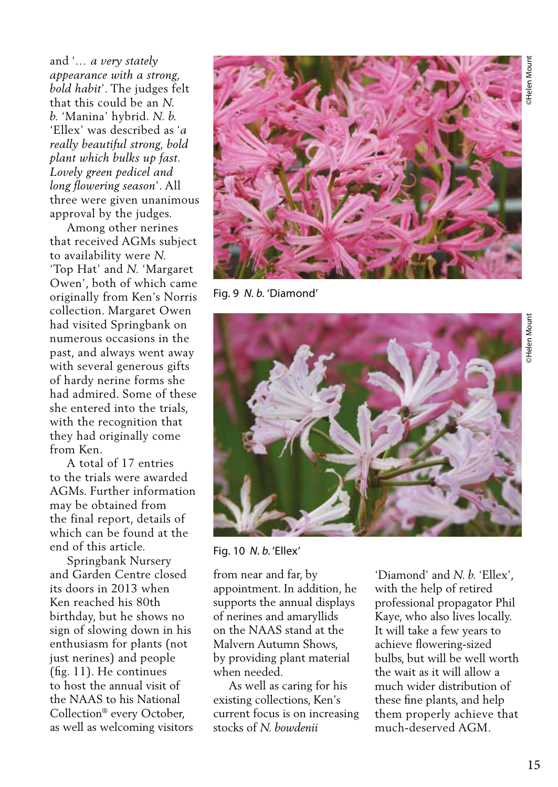and '*… a very stately appearance with a strong, bold habit*'. The judges felt that this could be an *N. b.* 'Manina' hybrid. *N. b.* 'Ellex' was described as '*a really beautiful strong, bold plant which bulks up fast. Lovely green pedicel and long flowering season*'. All three were given unanimous approval by the judges.

 Among other nerines that received AGMs subject to availability were *N.* 'Top Hat' and *N.* 'Margaret Owen', both of which came originally from Ken's Norris collection. Margaret Owen had visited Springbank on numerous occasions in the past, and always went away with several generous gifts of hardy nerine forms she had admired. Some of these she entered into the trials, with the recognition that they had originally come from Ken.

 A total of 17 entries to the trials were awarded AGMs. Further information may be obtained from the final report, details of which can be found at the end of this article.

 Springbank Nursery and Garden Centre closed its doors in 2013 when Ken reached his 80th birthday, but he shows no sign of slowing down in his enthusiasm for plants (not just nerines) and people (fig. 11). He continues to host the annual visit of the NAAS to his National Collection® every October, as well as welcoming visitors



Fig. 9 *N. b.* 'Diamond'



Fig. 10 *N. b.* 'Ellex'

from near and far, by appointment. In addition, he supports the annual displays of nerines and amaryllids on the NAAS stand at the Malvern Autumn Shows, by providing plant material when needed.

 As well as caring for his existing collections, Ken's current focus is on increasing stocks of *N. bowdenii*

'Diamond' and *N. b.* 'Ellex', with the help of retired professional propagator Phil Kaye, who also lives locally. It will take a few years to achieve flowering-sized bulbs, but will be well worth the wait as it will allow a much wider distribution of these fine plants, and help them properly achieve that much-deserved AGM.